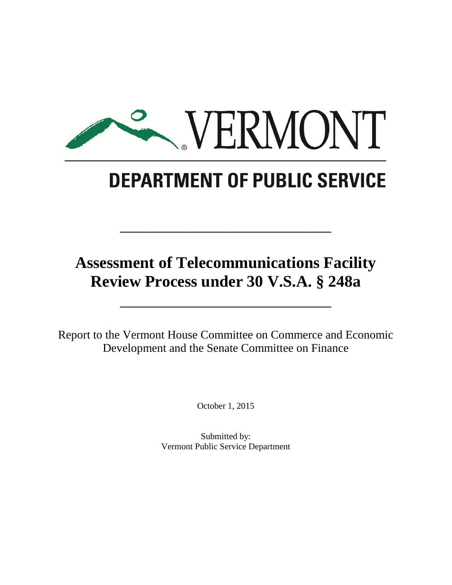

# **DEPARTMENT OF PUBLIC SERVICE**

## **Assessment of Telecommunications Facility Review Process under 30 V.S.A. § 248a**

\_\_\_\_\_\_\_\_\_\_\_\_\_\_\_\_\_\_\_\_\_\_\_\_\_\_

\_\_\_\_\_\_\_\_\_\_\_\_\_\_\_\_\_\_\_\_\_\_\_\_\_\_

Report to the Vermont House Committee on Commerce and Economic Development and the Senate Committee on Finance

October 1, 2015

Submitted by: Vermont Public Service Department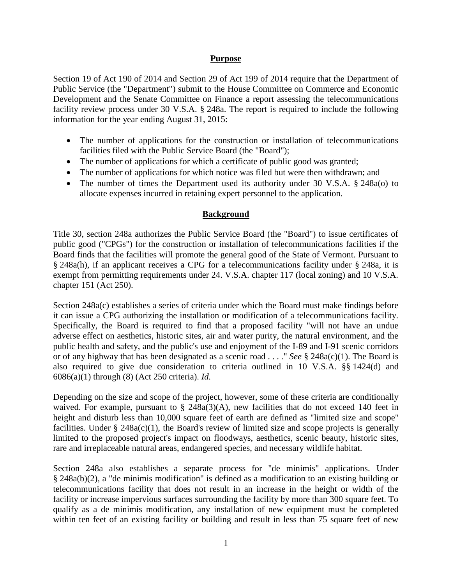#### **Purpose**

Section 19 of Act 190 of 2014 and Section 29 of Act 199 of 2014 require that the Department of Public Service (the "Department") submit to the House Committee on Commerce and Economic Development and the Senate Committee on Finance a report assessing the telecommunications facility review process under 30 V.S.A. § 248a. The report is required to include the following information for the year ending August 31, 2015:

- The number of applications for the construction or installation of telecommunications facilities filed with the Public Service Board (the "Board");
- The number of applications for which a certificate of public good was granted;
- The number of applications for which notice was filed but were then withdrawn; and
- The number of times the Department used its authority under 30 V.S.A. § 248a(o) to allocate expenses incurred in retaining expert personnel to the application.

### **Background**

Title 30, section 248a authorizes the Public Service Board (the "Board") to issue certificates of public good ("CPGs") for the construction or installation of telecommunications facilities if the Board finds that the facilities will promote the general good of the State of Vermont. Pursuant to § 248a(h), if an applicant receives a CPG for a telecommunications facility under § 248a, it is exempt from permitting requirements under 24. V.S.A. chapter 117 (local zoning) and 10 V.S.A. chapter 151 (Act 250).

Section 248a(c) establishes a series of criteria under which the Board must make findings before it can issue a CPG authorizing the installation or modification of a telecommunications facility. Specifically, the Board is required to find that a proposed facility "will not have an undue adverse effect on aesthetics, historic sites, air and water purity, the natural environment, and the public health and safety, and the public's use and enjoyment of the I-89 and I-91 scenic corridors or of any highway that has been designated as a scenic road . . . ." *See* § 248a(c)(1). The Board is also required to give due consideration to criteria outlined in 10 V.S.A. §§ 1424(d) and 6086(a)(1) through (8) (Act 250 criteria). *Id.*

Depending on the size and scope of the project, however, some of these criteria are conditionally waived. For example, pursuant to  $\S$  248a(3)(A), new facilities that do not exceed 140 feet in height and disturb less than 10,000 square feet of earth are defined as "limited size and scope" facilities. Under  $\S$  248a(c)(1), the Board's review of limited size and scope projects is generally limited to the proposed project's impact on floodways, aesthetics, scenic beauty, historic sites, rare and irreplaceable natural areas, endangered species, and necessary wildlife habitat.

Section 248a also establishes a separate process for "de minimis" applications. Under § 248a(b)(2), a "de minimis modification" is defined as a modification to an existing building or telecommunications facility that does not result in an increase in the height or width of the facility or increase impervious surfaces surrounding the facility by more than 300 square feet. To qualify as a de minimis modification, any installation of new equipment must be completed within ten feet of an existing facility or building and result in less than 75 square feet of new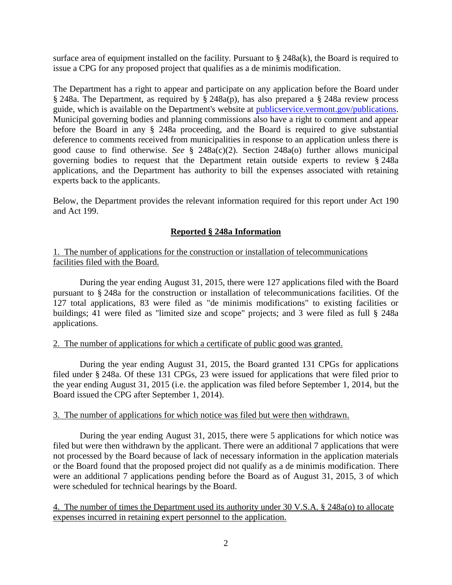surface area of equipment installed on the facility. Pursuant to § 248a(k), the Board is required to issue a CPG for any proposed project that qualifies as a de minimis modification.

The Department has a right to appear and participate on any application before the Board under § 248a. The Department, as required by § 248a(p), has also prepared a § 248a review process guide, which is available on the Department's website at [publicservice.vermont.gov/publications.](http://publicservice.vermont.gov/publications) Municipal governing bodies and planning commissions also have a right to comment and appear before the Board in any § 248a proceeding, and the Board is required to give substantial deference to comments received from municipalities in response to an application unless there is good cause to find otherwise. *See* § 248a(c)(2). Section 248a(o) further allows municipal governing bodies to request that the Department retain outside experts to review § 248a applications, and the Department has authority to bill the expenses associated with retaining experts back to the applicants.

Below, the Department provides the relevant information required for this report under Act 190 and Act 199.

### **Reported § 248a Information**

#### 1. The number of applications for the construction or installation of telecommunications facilities filed with the Board.

During the year ending August 31, 2015, there were 127 applications filed with the Board pursuant to § 248a for the construction or installation of telecommunications facilities. Of the 127 total applications, 83 were filed as "de minimis modifications" to existing facilities or buildings; 41 were filed as "limited size and scope" projects; and 3 were filed as full § 248a applications.

#### 2. The number of applications for which a certificate of public good was granted.

During the year ending August 31, 2015, the Board granted 131 CPGs for applications filed under § 248a. Of these 131 CPGs, 23 were issued for applications that were filed prior to the year ending August 31, 2015 (i.e. the application was filed before September 1, 2014, but the Board issued the CPG after September 1, 2014).

#### 3. The number of applications for which notice was filed but were then withdrawn.

During the year ending August 31, 2015, there were 5 applications for which notice was filed but were then withdrawn by the applicant. There were an additional 7 applications that were not processed by the Board because of lack of necessary information in the application materials or the Board found that the proposed project did not qualify as a de minimis modification. There were an additional 7 applications pending before the Board as of August 31, 2015, 3 of which were scheduled for technical hearings by the Board.

4. The number of times the Department used its authority under 30 V.S.A. § 248a(o) to allocate expenses incurred in retaining expert personnel to the application.